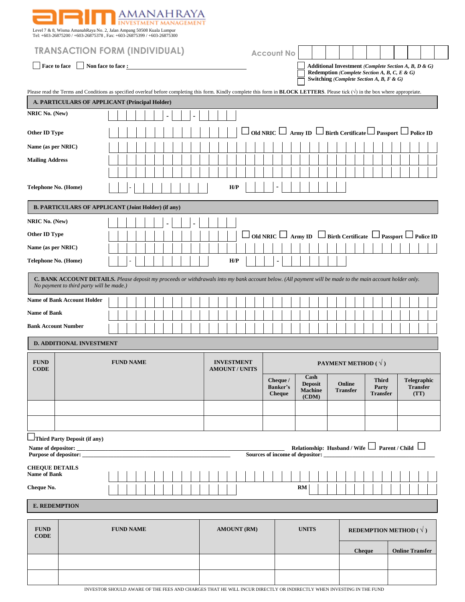|                                                                                                                                                |                                          | anahraya                                                                                                                                                                                          |  |                               |                                       |                                                   |                                                                                          |                                          |                                                                                          |  |
|------------------------------------------------------------------------------------------------------------------------------------------------|------------------------------------------|---------------------------------------------------------------------------------------------------------------------------------------------------------------------------------------------------|--|-------------------------------|---------------------------------------|---------------------------------------------------|------------------------------------------------------------------------------------------|------------------------------------------|------------------------------------------------------------------------------------------|--|
| Level 7 & 8, Wisma AmanahRaya No. 2, Jalan Ampang 50508 Kuala Lumpur<br>Tel: +603-26875200 / +603-26875378, Fax: +603-26875399 / +603-26875300 |                                          |                                                                                                                                                                                                   |  |                               |                                       |                                                   |                                                                                          |                                          |                                                                                          |  |
| <b>TRANSACTION FORM (INDIVIDUAL)</b>                                                                                                           |                                          |                                                                                                                                                                                                   |  | <b>Account No</b>             |                                       |                                                   |                                                                                          |                                          |                                                                                          |  |
|                                                                                                                                                | Face to face   Non face to face :        |                                                                                                                                                                                                   |  |                               |                                       |                                                   | Redemption (Complete Section A, B, C, E & G)<br>Switching (Complete Section A, B, F & G) |                                          | Additional Investment (Complete Section A, B, D & G)                                     |  |
|                                                                                                                                                |                                          | Please read the Terms and Conditions as specified overleaf before completing this form. Kindly complete this form in <b>BLOCK LETTERS</b> . Please tick $(\sqrt{})$ in the box where appropriate. |  |                               |                                       |                                                   |                                                                                          |                                          |                                                                                          |  |
|                                                                                                                                                |                                          | A. PARTICULARS OF APPLICANT (Principal Holder)                                                                                                                                                    |  |                               |                                       |                                                   |                                                                                          |                                          |                                                                                          |  |
| NRIC No. (New)                                                                                                                                 |                                          |                                                                                                                                                                                                   |  |                               |                                       |                                                   |                                                                                          |                                          |                                                                                          |  |
| Other ID Type                                                                                                                                  |                                          |                                                                                                                                                                                                   |  |                               |                                       |                                                   |                                                                                          |                                          | $\Box$ Old NRIC $\Box$ Army ID $\Box$ Birth Certificate $\Box$ Passport $\Box$ Police ID |  |
| Name (as per NRIC)                                                                                                                             |                                          |                                                                                                                                                                                                   |  |                               |                                       |                                                   |                                                                                          |                                          |                                                                                          |  |
| <b>Mailing Address</b>                                                                                                                         |                                          |                                                                                                                                                                                                   |  |                               |                                       |                                                   |                                                                                          |                                          |                                                                                          |  |
|                                                                                                                                                |                                          |                                                                                                                                                                                                   |  |                               |                                       |                                                   |                                                                                          |                                          |                                                                                          |  |
| Telephone No. (Home)                                                                                                                           |                                          |                                                                                                                                                                                                   |  | H/P                           |                                       |                                                   |                                                                                          |                                          |                                                                                          |  |
|                                                                                                                                                |                                          | <b>B. PARTICULARS OF APPLICANT (Joint Holder) (if any)</b>                                                                                                                                        |  |                               |                                       |                                                   |                                                                                          |                                          |                                                                                          |  |
| NRIC No. (New)                                                                                                                                 |                                          |                                                                                                                                                                                                   |  |                               |                                       |                                                   |                                                                                          |                                          |                                                                                          |  |
| Other ID Type                                                                                                                                  |                                          |                                                                                                                                                                                                   |  |                               |                                       |                                                   |                                                                                          |                                          | $\Box$ Old NRIC $\Box$ Army ID $\Box$ Birth Certificate $\Box$ Passport $\Box$ Police ID |  |
| Name (as per NRIC)                                                                                                                             |                                          |                                                                                                                                                                                                   |  |                               |                                       |                                                   |                                                                                          |                                          |                                                                                          |  |
| H/P<br>Telephone No. (Home)                                                                                                                    |                                          |                                                                                                                                                                                                   |  |                               |                                       |                                                   |                                                                                          |                                          |                                                                                          |  |
|                                                                                                                                                | No payment to third party will be made.) | C. BANK ACCOUNT DETAILS. Please deposit my proceeds or withdrawals into my bank account below. (All payment will be made to the main account holder only.                                         |  |                               |                                       |                                                   |                                                                                          |                                          |                                                                                          |  |
|                                                                                                                                                | <b>Name of Bank Account Holder</b>       |                                                                                                                                                                                                   |  |                               |                                       |                                                   |                                                                                          |                                          |                                                                                          |  |
| <b>Name of Bank</b>                                                                                                                            |                                          |                                                                                                                                                                                                   |  |                               |                                       |                                                   |                                                                                          |                                          |                                                                                          |  |
| <b>Bank Account Number</b>                                                                                                                     |                                          |                                                                                                                                                                                                   |  |                               |                                       |                                                   |                                                                                          |                                          |                                                                                          |  |
|                                                                                                                                                | <b>D. ADDITIONAL INVESTMENT</b>          |                                                                                                                                                                                                   |  |                               |                                       |                                                   |                                                                                          |                                          |                                                                                          |  |
| <b>FUND</b><br><b>FUND NAME</b><br><b>CODE</b>                                                                                                 |                                          | <b>INVESTMENT</b><br><b>AMOUNT / UNITS</b>                                                                                                                                                        |  | PAYMENT METHOD ( $\sqrt{ }$ ) |                                       |                                                   |                                                                                          |                                          |                                                                                          |  |
|                                                                                                                                                |                                          |                                                                                                                                                                                                   |  |                               | Cheque /<br>Banker's<br><b>Cheque</b> | Cash<br><b>Deposit</b><br><b>Machine</b><br>(CDM) | Online<br><b>Transfer</b>                                                                | <b>Third</b><br>Party<br><b>Transfer</b> | Telegraphic<br><b>Transfer</b><br>(TT)                                                   |  |
|                                                                                                                                                |                                          |                                                                                                                                                                                                   |  |                               |                                       |                                                   |                                                                                          |                                          |                                                                                          |  |
|                                                                                                                                                |                                          |                                                                                                                                                                                                   |  |                               |                                       |                                                   |                                                                                          |                                          |                                                                                          |  |
|                                                                                                                                                | Third Party Deposit (if any)             |                                                                                                                                                                                                   |  |                               |                                       |                                                   |                                                                                          |                                          |                                                                                          |  |
| Relationship: Husband / Wife $\Box$ Parent / Child $\Box$<br>Sources of income of depositor:                                                   |                                          |                                                                                                                                                                                                   |  |                               |                                       |                                                   |                                                                                          |                                          |                                                                                          |  |
| <b>CHEQUE DETAILS</b><br><b>Name of Bank</b>                                                                                                   |                                          |                                                                                                                                                                                                   |  |                               |                                       |                                                   |                                                                                          |                                          |                                                                                          |  |
| Cheque No.                                                                                                                                     |                                          |                                                                                                                                                                                                   |  |                               | RM                                    |                                                   |                                                                                          |                                          |                                                                                          |  |
| <b>E. REDEMPTION</b>                                                                                                                           |                                          |                                                                                                                                                                                                   |  |                               |                                       |                                                   |                                                                                          |                                          |                                                                                          |  |
| <b>FUND</b>                                                                                                                                    |                                          | <b>FUND NAME</b>                                                                                                                                                                                  |  | <b>AMOUNT (RM)</b>            |                                       | <b>UNITS</b>                                      |                                                                                          |                                          | <b>REDEMPTION METHOD</b> ( $\sqrt{ }$ )                                                  |  |
| <b>CODE</b>                                                                                                                                    |                                          |                                                                                                                                                                                                   |  |                               |                                       |                                                   |                                                                                          |                                          |                                                                                          |  |
|                                                                                                                                                |                                          |                                                                                                                                                                                                   |  |                               |                                       |                                                   | <b>Cheque</b>                                                                            |                                          | <b>Online Transfer</b>                                                                   |  |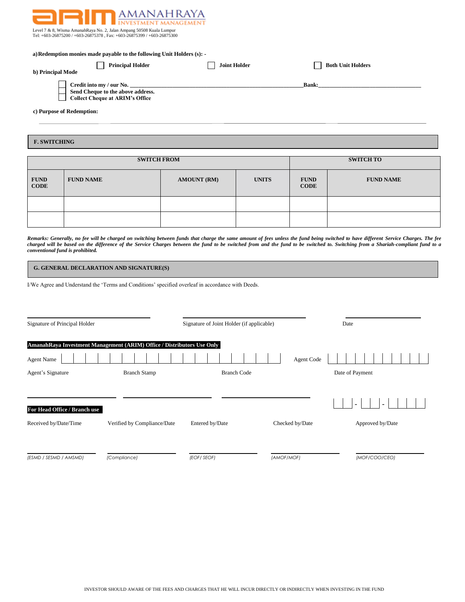

Level 7 & 8, Wisma AmanahRaya No. 2, Jalan Ampang 50508 Kuala Lumpur Tel: +603-26875200 / +603-26875378 , Fax: +603-26875399 / +603-26875300

| a) Redemption monies made payable to the following Unit Holders (s):                             |                     |                          |  |  |  |
|--------------------------------------------------------------------------------------------------|---------------------|--------------------------|--|--|--|
| <b>Principal Holder</b><br>b) Principal Mode                                                     | <b>Joint Holder</b> | <b>Both Unit Holders</b> |  |  |  |
| Credit into my / our No.<br>Send Cheque to the above address.<br>Collect Cheque at ARIM's Office |                     | <b>Bank:</b>             |  |  |  |
| c) Purpose of Redemption:                                                                        |                     |                          |  |  |  |

## **F. SWITCHING**

| <b>SWITCH FROM</b>         |                  |                    |              | <b>SWITCH TO</b>           |                  |  |
|----------------------------|------------------|--------------------|--------------|----------------------------|------------------|--|
| <b>FUND</b><br><b>CODE</b> | <b>FUND NAME</b> | <b>AMOUNT (RM)</b> | <b>UNITS</b> | <b>FUND</b><br><b>CODE</b> | <b>FUND NAME</b> |  |
|                            |                  |                    |              |                            |                  |  |
|                            |                  |                    |              |                            |                  |  |

*Remarks: Generally, no fee will be charged on switching between funds that charge the same amount of fees unless the fund being switched to have different Service Charges. The fee charged will be based on the difference of the Service Charges between the fund to be switched from and the fund to be switched to. Switching from a Shariah-compliant fund to a conventional fund is prohibited.*

# **G. GENERAL DECLARATION AND SIGNATURE(S)**

I/We Agree and Understand the 'Terms and Conditions' specified overleaf in accordance with Deeds.

| Signature of Principal Holder |                                                                        | Signature of Joint Holder (if applicable) |                 | Date             |  |  |
|-------------------------------|------------------------------------------------------------------------|-------------------------------------------|-----------------|------------------|--|--|
|                               | AmanahRaya Investment Management (ARIM) Office / Distributors Use Only |                                           |                 |                  |  |  |
| <b>Agent Name</b>             |                                                                        |                                           | Agent Code      |                  |  |  |
| Agent's Signature             | <b>Branch Stamp</b>                                                    | <b>Branch Code</b>                        |                 | Date of Payment  |  |  |
|                               |                                                                        |                                           |                 |                  |  |  |
| For Head Office / Branch use  |                                                                        |                                           |                 | $\sim$           |  |  |
| Received by/Date/Time         | Verified by Compliance/Date                                            | Entered by/Date                           | Checked by/Date | Approved by/Date |  |  |
|                               |                                                                        |                                           |                 |                  |  |  |
| (ESMD / SESMD / AMSMD)        | (Compliance)                                                           | (EOF/ SEOF)                               | (AMOF/MOF)      | (MOF/COO/CEO)    |  |  |